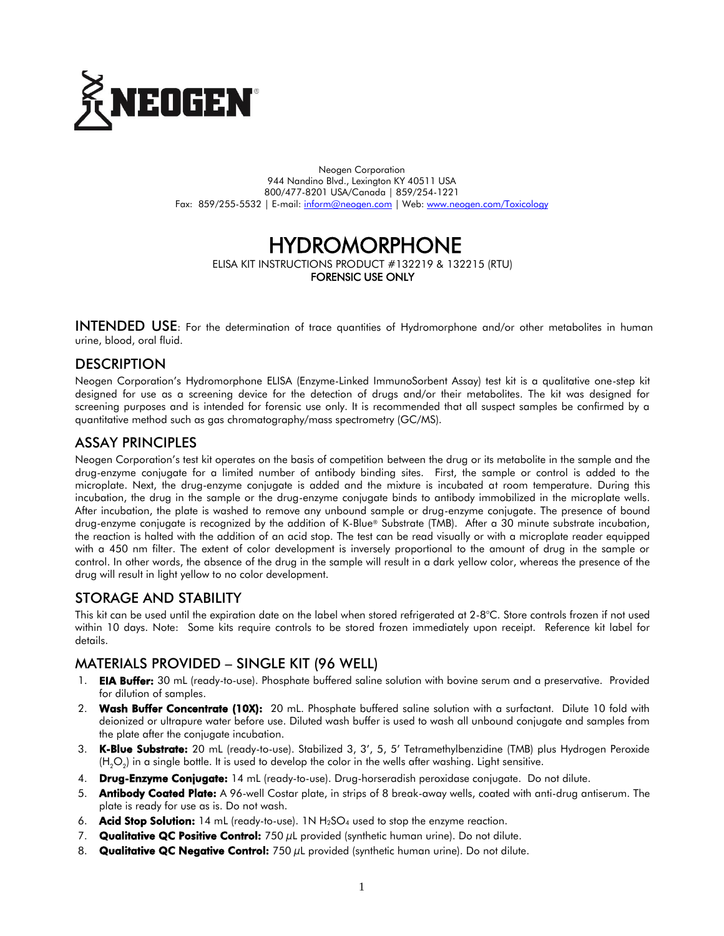

Neogen Corporation 944 Nandino Blvd., Lexington KY 40511 USA 800/477-8201 USA/Canada | 859/254-1221 Fax: 859/255-5532 | E-mail: [inform@neogen.com](mailto:inform@neogen.com) | Web: [www.neogen.com/Toxicology](http://www.neogen.com/Toxicology)

# **HYDROMORPHONE**

ELISA KIT INSTRUCTIONS PRODUCT #132219 & 132215 (RTU) FORENSIC USE ONLY

INTENDED USE: For the determination of trace quantities of Hydromorphone and/or other metabolites in human urine, blood, oral fluid.

## **DESCRIPTION**

Neogen Corporation's Hydromorphone ELISA (Enzyme-Linked ImmunoSorbent Assay) test kit is a qualitative one-step kit designed for use as a screening device for the detection of drugs and/or their metabolites. The kit was designed for screening purposes and is intended for forensic use only. It is recommended that all suspect samples be confirmed by a quantitative method such as gas chromatography/mass spectrometry (GC/MS).

## ASSAY PRINCIPLES

Neogen Corporation's test kit operates on the basis of competition between the drug or its metabolite in the sample and the drug-enzyme conjugate for a limited number of antibody binding sites. First, the sample or control is added to the microplate. Next, the drug-enzyme conjugate is added and the mixture is incubated at room temperature. During this incubation, the drug in the sample or the drug-enzyme conjugate binds to antibody immobilized in the microplate wells. After incubation, the plate is washed to remove any unbound sample or drug-enzyme conjugate. The presence of bound drug-enzyme conjugate is recognized by the addition of K-Blue® Substrate (TMB). After a 30 minute substrate incubation, the reaction is halted with the addition of an acid stop. The test can be read visually or with a microplate reader equipped with a 450 nm filter. The extent of color development is inversely proportional to the amount of drug in the sample or control. In other words, the absence of the drug in the sample will result in a dark yellow color, whereas the presence of the drug will result in light yellow to no color development.

# STORAGE AND STABILITY

This kit can be used until the expiration date on the label when stored refrigerated at 2-8°C. Store controls frozen if not used within 10 days. Note: Some kits require controls to be stored frozen immediately upon receipt. Reference kit label for details.

# MATERIALS PROVIDED – SINGLE KIT (96 WELL)

- 1. **EIA Buffer:** 30 mL (ready-to-use). Phosphate buffered saline solution with bovine serum and a preservative. Provided for dilution of samples.
- 2. Wash Buffer Concentrate (10X): 20 mL. Phosphate buffered saline solution with a surfactant. Dilute 10 fold with deionized or ultrapure water before use. Diluted wash buffer is used to wash all unbound conjugate and samples from the plate after the conjugate incubation.
- 3. K-Blue Substrate: 20 mL (ready-to-use). Stabilized 3, 3', 5, 5' Tetramethylbenzidine (TMB) plus Hydrogen Peroxide (H<sub>2</sub>O<sub>2</sub>) in a single bottle. It is used to develop the color in the wells after washing. Light sensitive.
- 4. Drug-Enzyme Conjugate: 14 mL (ready-to-use). Drug-horseradish peroxidase conjugate. Do not dilute.
- 5. **Antibody Coated Plate:** A 96-well Costar plate, in strips of 8 break-away wells, coated with anti-drug antiserum. The plate is ready for use as is. Do not wash.
- 6. **Acid Stop Solution:** 14 mL (ready-to-use). 1N  $H_2SO_4$  used to stop the enzyme reaction.
- 7. **Qualitative QC Positive Control:** 750  $\mu$ L provided (synthetic human urine). Do not dilute.
- 8. Qualitative QC Negative Control: 750 µL provided (synthetic human urine). Do not dilute.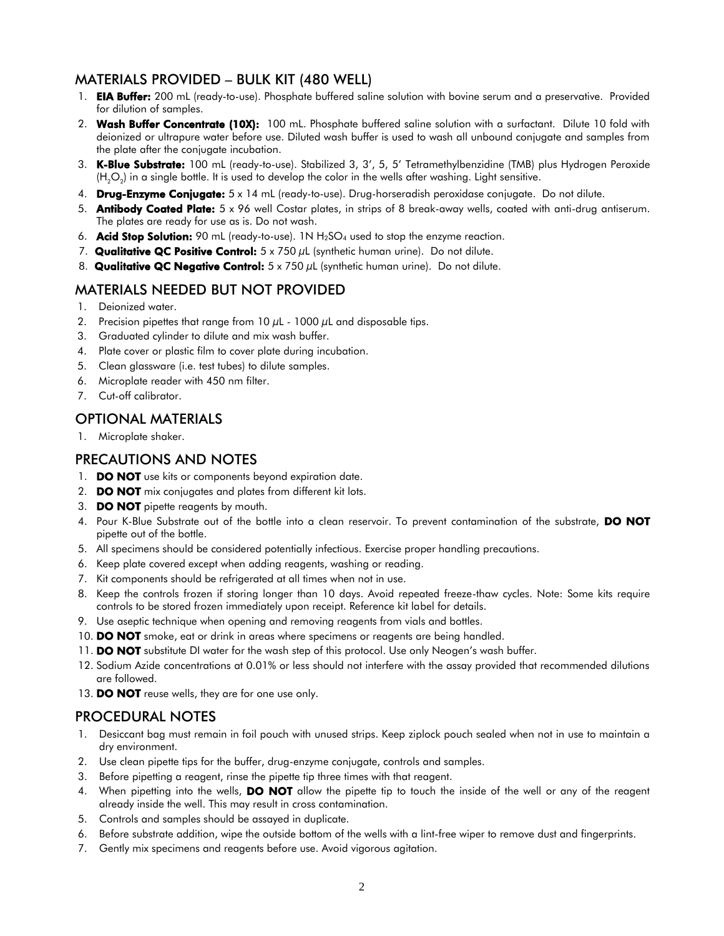# MATERIALS PROVIDED – BULK KIT (480 WELL)

- 1. **EIA Buffer:** 200 mL (ready-to-use). Phosphate buffered saline solution with bovine serum and a preservative. Provided for dilution of samples.
- 2. Wash Buffer Concentrate (10X): 100 mL. Phosphate buffered saline solution with a surfactant. Dilute 10 fold with deionized or ultrapure water before use. Diluted wash buffer is used to wash all unbound conjugate and samples from the plate after the conjugate incubation.
- 3. K-Blue Substrate: 100 mL (ready-to-use). Stabilized 3, 3', 5, 5' Tetramethylbenzidine (TMB) plus Hydrogen Peroxide (H $_{2}$ O $_{2}$ ) in a single bottle. It is used to develop the color in the wells after washing. Light sensitive.
- 4. Drug-Enzyme Conjugate: 5 x 14 mL (ready-to-use). Drug-horseradish peroxidase conjugate. Do not dilute.
- 5. Antibody Coated Plate: 5 x 96 well Costar plates, in strips of 8 break-away wells, coated with anti-drug antiserum. The plates are ready for use as is. Do not wash.
- 6. **Acid Stop Solution:** 90 mL (ready-to-use). 1N  $H_2SO_4$  used to stop the enzyme reaction.
- 7. Qualitative QC Positive Control:  $5 \times 750 \,\mu$ L (synthetic human urine). Do not dilute.
- 8. Qualitative QC Negative Control:  $5 \times 750 \mu$ L (synthetic human urine). Do not dilute.

## MATERIALS NEEDED BUT NOT PROVIDED

- 1. Deionized water.
- 2. Precision pipettes that range from 10  $\mu$ L 1000  $\mu$ L and disposable tips.
- 3. Graduated cylinder to dilute and mix wash buffer.
- 4. Plate cover or plastic film to cover plate during incubation.
- 5. Clean glassware (i.e. test tubes) to dilute samples.
- 6. Microplate reader with 450 nm filter.
- 7. Cut-off calibrator.

## OPTIONAL MATERIALS

1. Microplate shaker.

#### PRECAUTIONS AND NOTES

- 1. **DO NOT** use kits or components beyond expiration date.
- 2. **DO NOT** mix conjugates and plates from different kit lots.
- 3. **DO NOT** pipette reagents by mouth.
- 4. Pour K-Blue Substrate out of the bottle into a clean reservoir. To prevent contamination of the substrate, DO NOT pipette out of the bottle.
- 5. All specimens should be considered potentially infectious. Exercise proper handling precautions.
- 6. Keep plate covered except when adding reagents, washing or reading.
- 7. Kit components should be refrigerated at all times when not in use.
- 8. Keep the controls frozen if storing longer than 10 days. Avoid repeated freeze-thaw cycles. Note: Some kits require controls to be stored frozen immediately upon receipt. Reference kit label for details.
- 9. Use aseptic technique when opening and removing reagents from vials and bottles.
- 10. DO NOT smoke, eat or drink in areas where specimens or reagents are being handled.
- 11. DO NOT substitute DI water for the wash step of this protocol. Use only Neogen's wash buffer.
- 12. Sodium Azide concentrations at 0.01% or less should not interfere with the assay provided that recommended dilutions are followed.
- 13. DO NOT reuse wells, they are for one use only.

#### PROCEDURAL NOTES

- 1. Desiccant bag must remain in foil pouch with unused strips. Keep ziplock pouch sealed when not in use to maintain a dry environment.
- 2. Use clean pipette tips for the buffer, drug-enzyme conjugate, controls and samples.
- 3. Before pipetting a reagent, rinse the pipette tip three times with that reagent.
- 4. When pipetting into the wells, **DO NOT** allow the pipette tip to touch the inside of the well or any of the reagent already inside the well. This may result in cross contamination.
- 5. Controls and samples should be assayed in duplicate.
- 6. Before substrate addition, wipe the outside bottom of the wells with a lint-free wiper to remove dust and fingerprints.
- 7. Gently mix specimens and reagents before use. Avoid vigorous agitation.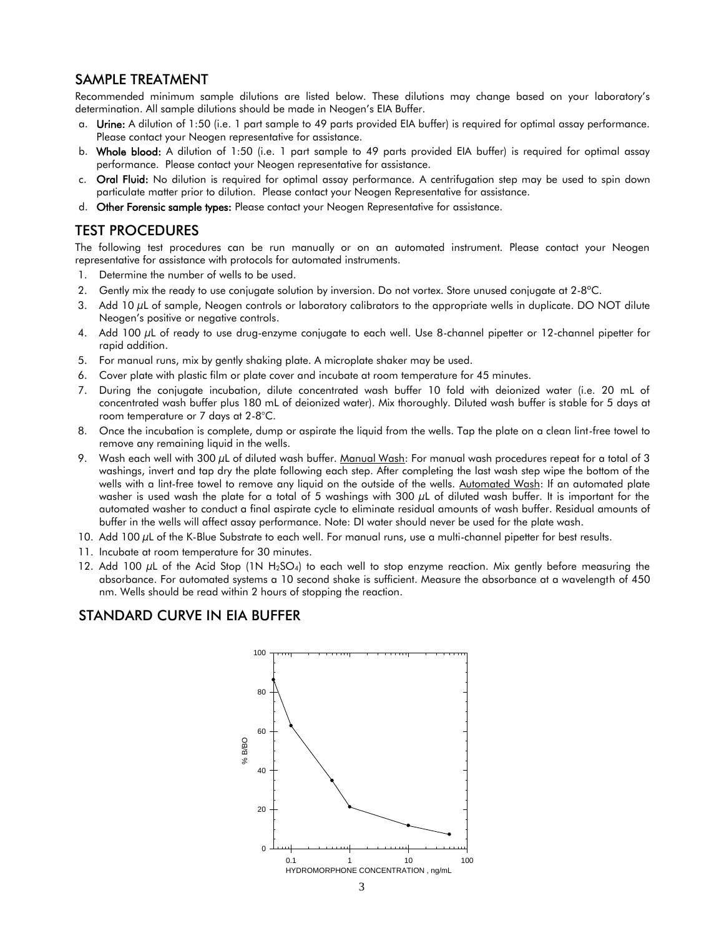## SAMPLE TREATMENT

Recommended minimum sample dilutions are listed below. These dilutions may change based on your laboratory's determination. All sample dilutions should be made in Neogen's EIA Buffer.

- a. Urine: A dilution of 1:50 (i.e. 1 part sample to 49 parts provided EIA buffer) is required for optimal assay performance. Please contact your Neogen representative for assistance.
- b. Whole blood: A dilution of 1:50 (i.e. 1 part sample to 49 parts provided EIA buffer) is required for optimal assay performance. Please contact your Neogen representative for assistance.
- c. Oral Fluid: No dilution is required for optimal assay performance. A centrifugation step may be used to spin down particulate matter prior to dilution. Please contact your Neogen Representative for assistance.
- d. Other Forensic sample types: Please contact your Neogen Representative for assistance.

#### TEST PROCEDURES

The following test procedures can be run manually or on an automated instrument. Please contact your Neogen representative for assistance with protocols for automated instruments.

- 1. Determine the number of wells to be used.
- 2. Gently mix the ready to use conjugate solution by inversion. Do not vortex. Store unused conjugate at 2-8°C.
- 3. Add 10  $\mu$ L of sample, Neogen controls or laboratory calibrators to the appropriate wells in duplicate. DO NOT dilute Neogen's positive or negative controls.
- 4. Add 100 µL of ready to use drug-enzyme conjugate to each well. Use 8-channel pipetter or 12-channel pipetter for rapid addition.
- 5. For manual runs, mix by gently shaking plate. A microplate shaker may be used.
- 6. Cover plate with plastic film or plate cover and incubate at room temperature for 45 minutes.
- 7. During the conjugate incubation, dilute concentrated wash buffer 10 fold with deionized water (i.e. 20 mL of concentrated wash buffer plus 180 mL of deionized water). Mix thoroughly. Diluted wash buffer is stable for 5 days at room temperature or 7 days at 2-8°C.
- 8. Once the incubation is complete, dump or aspirate the liquid from the wells. Tap the plate on a clean lint-free towel to remove any remaining liquid in the wells.
- 9. Wash each well with 300 µL of diluted wash buffer. Manual Wash: For manual wash procedures repeat for a total of 3 washings, invert and tap dry the plate following each step. After completing the last wash step wipe the bottom of the wells with a lint-free towel to remove any liquid on the outside of the wells. Automated Wash: If an automated plate washer is used wash the plate for a total of 5 washings with  $300 \mu$ L of diluted wash buffer. It is important for the automated washer to conduct a final aspirate cycle to eliminate residual amounts of wash buffer. Residual amounts of buffer in the wells will affect assay performance. Note: DI water should never be used for the plate wash.
- 10. Add 100 µL of the K-Blue Substrate to each well. For manual runs, use a multi-channel pipetter for best results.
- 11. Incubate at room temperature for 30 minutes.
- 12. Add 100 µL of the Acid Stop (1N H<sub>2</sub>SO<sub>4</sub>) to each well to stop enzyme reaction. Mix gently before measuring the absorbance. For automated systems a 10 second shake is sufficient. Measure the absorbance at a wavelength of 450 nm. Wells should be read within 2 hours of stopping the reaction.

#### STANDARD CURVE IN EIA BUFFER

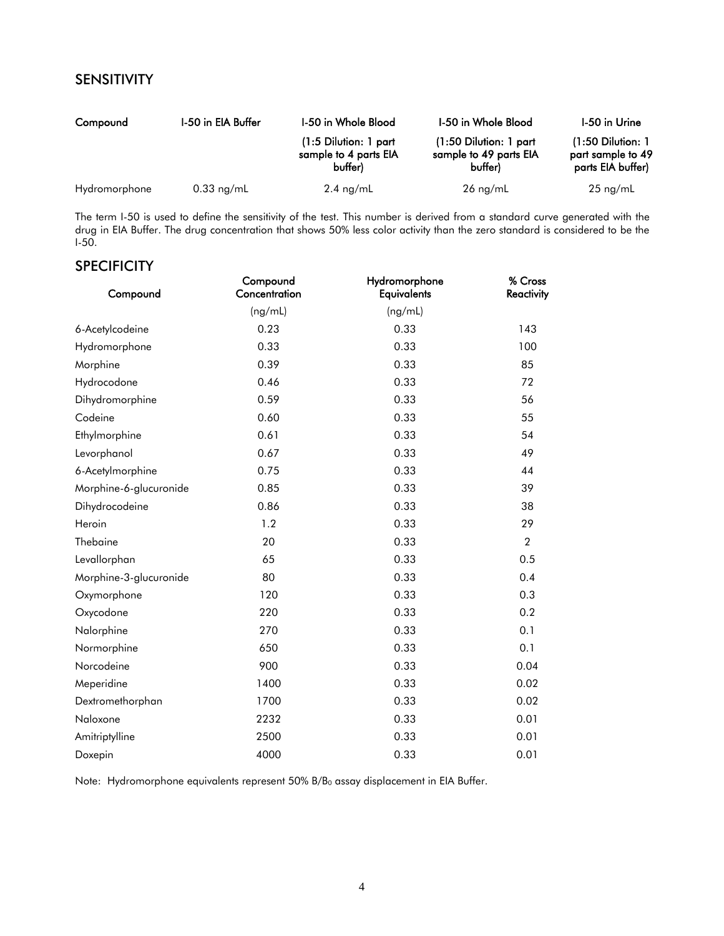# SENSITIVITY

| Compound      | 1-50 in EIA Buffer | I-50 in Whole Blood                                         | <b>I-50 in Whole Blood</b>                                    | I-50 in Urine                                                 |
|---------------|--------------------|-------------------------------------------------------------|---------------------------------------------------------------|---------------------------------------------------------------|
|               |                    | $(1:5$ Dilution: 1 part<br>sample to 4 parts EIA<br>buffer) | $(1:50$ Dilution: 1 part<br>sample to 49 parts EIA<br>buffer) | $(1:50$ Dilution: 1<br>part sample to 49<br>parts EIA buffer) |
| Hydromorphone | $0.33$ ng/mL       | $2.4 \text{ ng/mL}$                                         | $26 \text{ ng/mL}$                                            | $25 \text{ ng/mL}$                                            |

The term I-50 is used to define the sensitivity of the test. This number is derived from a standard curve generated with the drug in EIA Buffer. The drug concentration that shows 50% less color activity than the zero standard is considered to be the  $I-50$ .

## **SPECIFICITY**

| Compound               | Compound<br>Concentration | Hydromorphone<br><b>Equivalents</b> | % Cross<br>Reactivity |
|------------------------|---------------------------|-------------------------------------|-----------------------|
|                        | (ng/mL)                   | (ng/mL)                             |                       |
| 6-Acetylcodeine        | 0.23                      | 0.33                                | 143                   |
| Hydromorphone          | 0.33                      | 0.33                                | 100                   |
| Morphine               | 0.39                      | 0.33                                | 85                    |
| Hydrocodone            | 0.46                      | 0.33                                | 72                    |
| Dihydromorphine        | 0.59                      | 0.33                                | 56                    |
| Codeine                | 0.60                      | 0.33                                | 55                    |
| Ethylmorphine          | 0.61                      | 0.33                                | 54                    |
| Levorphanol            | 0.67                      | 0.33                                | 49                    |
| 6-Acetylmorphine       | 0.75                      | 0.33                                | 44                    |
| Morphine-6-glucuronide | 0.85                      | 0.33                                | 39                    |
| Dihydrocodeine         | 0.86                      | 0.33                                | 38                    |
| Heroin                 | 1.2                       | 0.33                                | 29                    |
| Thebaine               | 20                        | 0.33                                | $\overline{2}$        |
| Levallorphan           | 65                        | 0.33                                | 0.5                   |
| Morphine-3-glucuronide | 80                        | 0.33                                | 0.4                   |
| Oxymorphone            | 120                       | 0.33                                | 0.3                   |
| Oxycodone              | 220                       | 0.33                                | 0.2                   |
| Nalorphine             | 270                       | 0.33                                | 0.1                   |
| Normorphine            | 650                       | 0.33                                | 0.1                   |
| Norcodeine             | 900                       | 0.33                                | 0.04                  |
| Meperidine             | 1400                      | 0.33                                | 0.02                  |
| Dextromethorphan       | 1700                      | 0.33                                | 0.02                  |
| Naloxone               | 2232                      | 0.33                                | 0.01                  |
| Amitriptylline         | 2500                      | 0.33                                | 0.01                  |
| Doxepin                | 4000                      | 0.33                                | 0.01                  |

Note: Hydromorphone equivalents represent 50% B/B<sub>0</sub> assay displacement in EIA Buffer.